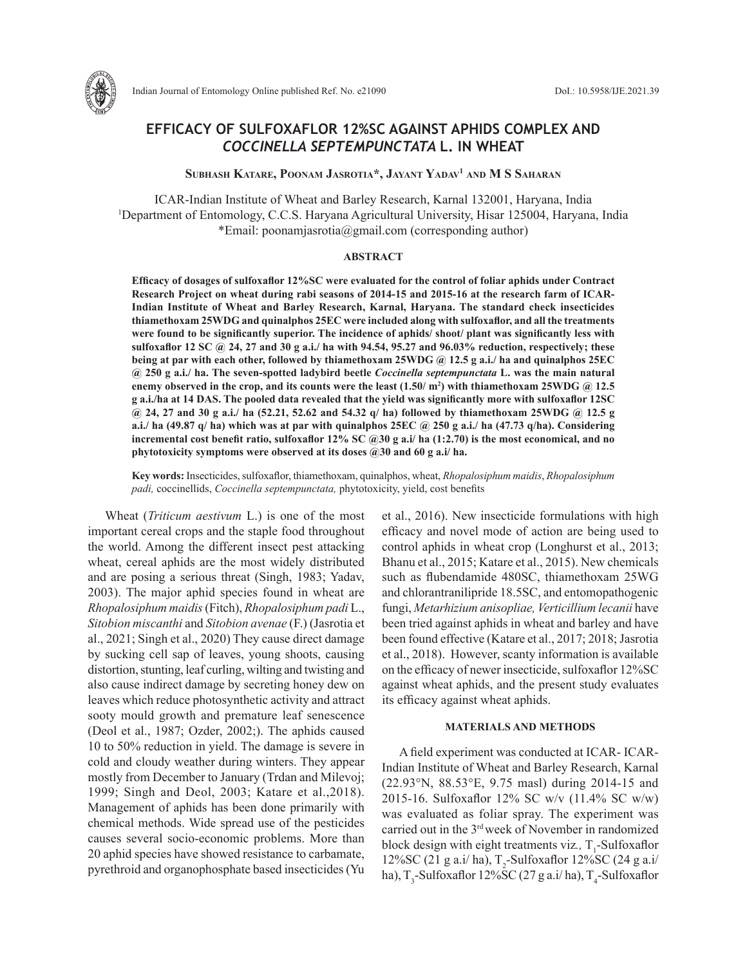

Indian Journal of Entomology Online published Ref. No. e21090 DoI.: 10.5958/IJE.2021.39

# **EFFICACY OF SULFOXAFLOR 12%SC AGAINST APHIDS COMPLEX AND**  *COCCINELLA SEPTEMPUNCTATA* **L. IN WHEAT**

# **Subhash Katare, Poonam Jasrotia\*, Jayant Yadav1 and M S Saharan**

ICAR-Indian Institute of Wheat and Barley Research, Karnal 132001, Haryana, India 1 Department of Entomology, C.C.S. Haryana Agricultural University, Hisar 125004, Haryana, India \*Email: poonamjasrotia@gmail.com (corresponding author)

#### **ABSTRACT**

**Efficacy of dosages of sulfoxaflor 12%SC were evaluated for the control of foliar aphids under Contract Research Project on wheat during rabi seasons of 2014-15 and 2015-16 at the research farm of ICAR-Indian Institute of Wheat and Barley Research, Karnal, Haryana. The standard check insecticides thiamethoxam 25WDG and quinalphos 25EC were included along with sulfoxaflor, and all the treatments were found to be significantly superior. The incidence of aphids/ shoot/ plant was significantly less with sulfoxaflor 12 SC @ 24, 27 and 30 g a.i./ ha with 94.54, 95.27 and 96.03% reduction, respectively; these being at par with each other, followed by thiamethoxam 25WDG @ 12.5 g a.i./ ha and quinalphos 25EC @ 250 g a.i./ ha. The seven-spotted ladybird beetle** *Coccinella septempunctata* **L. was the main natural enemy observed in the crop, and its counts were the least (1.50/ m2 ) with thiamethoxam 25WDG @ 12.5 g a.i./ha at 14 DAS. The pooled data revealed that the yield was significantly more with sulfoxaflor 12SC @ 24, 27 and 30 g a.i./ ha (52.21, 52.62 and 54.32 q/ ha) followed by thiamethoxam 25WDG @ 12.5 g a.i./ ha (49.87 q/ ha) which was at par with quinalphos 25EC @ 250 g a.i./ ha (47.73 q/ha). Considering incremental cost benefit ratio, sulfoxaflor 12% SC @30 g a.i/ ha (1:2.70) is the most economical, and no phytotoxicity symptoms were observed at its doses @30 and 60 g a.i/ ha.**

**Key words:** Insecticides, sulfoxaflor, thiamethoxam, quinalphos, wheat, *Rhopalosiphum maidis*, *Rhopalosiphum padi,* coccinellids, *Coccinella septempunctata,* phytotoxicity, yield, cost benefits

Wheat (*Triticum aestivum* L.) is one of the most important cereal crops and the staple food throughout the world. Among the different insect pest attacking wheat, cereal aphids are the most widely distributed and are posing a serious threat (Singh, 1983; Yadav, 2003). The major aphid species found in wheat are *Rhopalosiphum maidis* (Fitch), *Rhopalosiphum padi* L., *Sitobion miscanthi* and *Sitobion avenae* (F.) (Jasrotia et al., 2021; Singh et al., 2020) They cause direct damage by sucking cell sap of leaves, young shoots, causing distortion, stunting, leaf curling, wilting and twisting and also cause indirect damage by secreting honey dew on leaves which reduce photosynthetic activity and attract sooty mould growth and premature leaf senescence (Deol et al., 1987; Ozder, 2002;). The aphids caused 10 to 50% reduction in yield. The damage is severe in cold and cloudy weather during winters. They appear mostly from December to January (Trdan and Milevoj; 1999; Singh and Deol, 2003; Katare et al.,2018). Management of aphids has been done primarily with chemical methods. Wide spread use of the pesticides causes several socio-economic problems. More than 20 aphid species have showed resistance to carbamate, pyrethroid and organophosphate based insecticides (Yu

et al., 2016). New insecticide formulations with high efficacy and novel mode of action are being used to control aphids in wheat crop (Longhurst et al., 2013; Bhanu et al., 2015; Katare et al., 2015). New chemicals such as flubendamide 480SC, thiamethoxam 25WG and chlorantranilipride 18.5SC, and entomopathogenic fungi, *Metarhizium anisopliae, Verticillium lecanii* have been tried against aphids in wheat and barley and have been found effective (Katare et al., 2017; 2018; Jasrotia et al., 2018). However, scanty information is available on the efficacy of newer insecticide, sulfoxaflor 12%SC against wheat aphids, and the present study evaluates its efficacy against wheat aphids.

#### **MATERIALS AND METHODS**

A field experiment was conducted at ICAR- ICAR-Indian Institute of Wheat and Barley Research, Karnal (22.93°N, 88.53°E, 9.75 masl) during 2014-15 and 2015-16. Sulfoxaflor 12% SC w/v (11.4% SC w/w) was evaluated as foliar spray. The experiment was carried out in the 3rd week of November in randomized block design with eight treatments viz., T<sub>1</sub>-Sulfoxaflor 12%SC (21 g a.i/ ha),  $T_2$ -Sulfoxaflor 12%SC (24 g a.i/ ha), T<sub>3</sub>-Sulfoxaflor 12%SC (27 g a.i/ ha), T<sub>4</sub>-Sulfoxaflor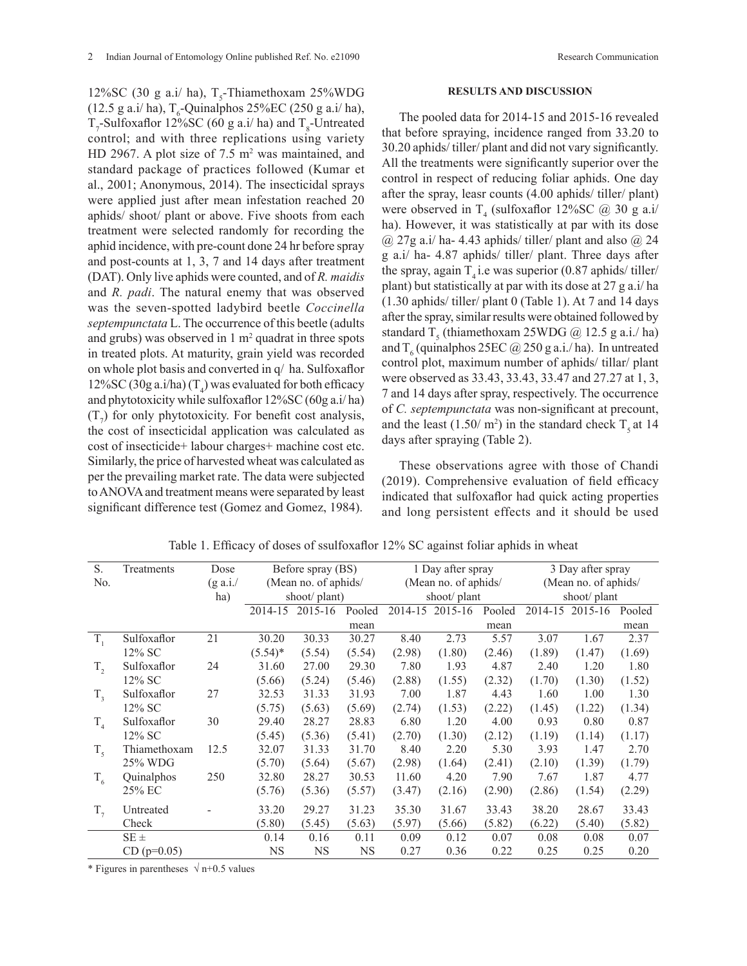12%SC (30 g a.i/ ha),  $T_s$ -Thiamethoxam 25%WDG  $(12.5 \text{ g a.} i/\text{ha})$ , T<sub>6</sub>-Quinalphos 25%EC (250 g a.i/ ha),  $T_7$ -Sulfoxaflor 12%SC (60 g a.i/ ha) and  $T_8$ -Untreated control; and with three replications using variety HD 2967. A plot size of  $7.5 \text{ m}^2$  was maintained, and standard package of practices followed (Kumar et al., 2001; Anonymous, 2014). The insecticidal sprays were applied just after mean infestation reached 20 aphids/ shoot/ plant or above. Five shoots from each treatment were selected randomly for recording the aphid incidence, with pre-count done 24 hr before spray and post-counts at 1, 3, 7 and 14 days after treatment (DAT). Only live aphids were counted, and of *R. maidis*  and *R. padi*. The natural enemy that was observed was the seven-spotted ladybird beetle *Coccinella septempunctata* L. The occurrence of this beetle (adults and grubs) was observed in  $1 \text{ m}^2$  quadrat in three spots in treated plots. At maturity, grain yield was recorded on whole plot basis and converted in q/ ha. Sulfoxaflor 12%SC (30g a.i/ha)  $(T_4)$  was evaluated for both efficacy and phytotoxicity while sulfoxaflor 12%SC (60g a.i/ ha)  $(T_7)$  for only phytotoxicity. For benefit cost analysis, the cost of insecticidal application was calculated as cost of insecticide+ labour charges+ machine cost etc. Similarly, the price of harvested wheat was calculated as per the prevailing market rate. The data were subjected to ANOVA and treatment means were separated by least significant difference test (Gomez and Gomez, 1984).

## **RESULTS AND DISCUSSION**

The pooled data for 2014-15 and 2015-16 revealed that before spraying, incidence ranged from 33.20 to 30.20 aphids/ tiller/ plant and did not vary significantly. All the treatments were significantly superior over the control in respect of reducing foliar aphids. One day after the spray, leasr counts (4.00 aphids/ tiller/ plant) were observed in  $T_4$  (sulfoxaflor 12%SC  $\omega$  30 g a.i/ ha). However, it was statistically at par with its dose  $(a)$  27g a.i/ ha- 4.43 aphids/ tiller/ plant and also  $(a)$  24 g a.i/ ha- 4.87 aphids/ tiller/ plant. Three days after the spray, again  $T<sub>4</sub>$  i.e was superior (0.87 aphids/ tiller/ plant) but statistically at par with its dose at 27 g a.i/ ha (1.30 aphids/ tiller/ plant 0 (Table 1). At 7 and 14 days after the spray, similar results were obtained followed by standard T<sub>5</sub> (thiamethoxam 25WDG  $@$  12.5 g a.i./ ha) and  $T_6$  (quinalphos 25EC  $\omega$  250 g a.i./ ha). In untreated control plot, maximum number of aphids/ tillar/ plant were observed as 33.43, 33.43, 33.47 and 27.27 at 1, 3, 7 and 14 days after spray, respectively. The occurrence of *C. septempunctata* was non-significant at precount, and the least  $(1.50/m^2)$  in the standard check T<sub>5</sub> at 14 days after spraying (Table 2).

These observations agree with those of Chandi (2019). Comprehensive evaluation of field efficacy indicated that sulfoxaflor had quick acting properties and long persistent effects and it should be used

| S.          | Treatments    | Dose               |                      | Before spray (BS) |           | 1 Day after spray    |                 |        | 3 Day after spray    |                 |        |
|-------------|---------------|--------------------|----------------------|-------------------|-----------|----------------------|-----------------|--------|----------------------|-----------------|--------|
| No.         |               | $(g \text{ a.i.})$ | (Mean no. of aphids/ |                   |           | (Mean no. of aphids/ |                 |        | (Mean no. of aphids/ |                 |        |
|             |               | ha)                | shoot/plant)         |                   |           | shoot/plant          |                 |        | shoot/plant          |                 |        |
|             |               |                    |                      | 2014-15 2015-16   | Pooled    |                      | 2014-15 2015-16 | Pooled |                      | 2014-15 2015-16 | Pooled |
|             |               |                    |                      |                   | mean      |                      |                 | mean   |                      |                 | mean   |
| $T_{1}$     | Sulfoxaflor   | 21                 | 30.20                | 30.33             | 30.27     | 8.40                 | 2.73            | 5.57   | 3.07                 | 1.67            | 2.37   |
|             | $12\%$ SC     |                    | $(5.54)$ *           | (5.54)            | (5.54)    | (2.98)               | (1.80)          | (2.46) | (1.89)               | (1.47)          | (1.69) |
| $T_{2}$     | Sulfoxaflor   | 24                 | 31.60                | 27.00             | 29.30     | 7.80                 | 1.93            | 4.87   | 2.40                 | 1.20            | 1.80   |
|             | $12\%$ SC     |                    | (5.66)               | (5.24)            | (5.46)    | (2.88)               | (1.55)          | (2.32) | (1.70)               | (1.30)          | (1.52) |
| $T_{3}$     | Sulfoxaflor   | 27                 | 32.53                | 31.33             | 31.93     | 7.00                 | 1.87            | 4.43   | 1.60                 | 1.00            | 1.30   |
|             | $12\%$ SC     |                    | (5.75)               | (5.63)            | (5.69)    | (2.74)               | (1.53)          | (2.22) | (1.45)               | (1.22)          | (1.34) |
| $T_{4}$     | Sulfoxaflor   | 30                 | 29.40                | 28.27             | 28.83     | 6.80                 | 1.20            | 4.00   | 0.93                 | 0.80            | 0.87   |
|             | $12\%$ SC     |                    | (5.45)               | (5.36)            | (5.41)    | (2.70)               | (1.30)          | (2.12) | (1.19)               | (1.14)          | (1.17) |
| $T_{\zeta}$ | Thiamethoxam  | 12.5               | 32.07                | 31.33             | 31.70     | 8.40                 | 2.20            | 5.30   | 3.93                 | 1.47            | 2.70   |
|             | 25% WDG       |                    | (5.70)               | (5.64)            | (5.67)    | (2.98)               | (1.64)          | (2.41) | (2.10)               | (1.39)          | (1.79) |
| $T_{6}$     | Quinalphos    | 250                | 32.80                | 28.27             | 30.53     | 11.60                | 4.20            | 7.90   | 7.67                 | 1.87            | 4.77   |
|             | 25% EC        |                    | (5.76)               | (5.36)            | (5.57)    | (3.47)               | (2.16)          | (2.90) | (2.86)               | (1.54)          | (2.29) |
| $T_{7}$     | Untreated     |                    | 33.20                | 29.27             | 31.23     | 35.30                | 31.67           | 33.43  | 38.20                | 28.67           | 33.43  |
|             | Check         |                    | (5.80)               | (5.45)            | (5.63)    | (5.97)               | (5.66)          | (5.82) | (6.22)               | (5.40)          | (5.82) |
|             | $SE \pm$      |                    | 0.14                 | 0.16              | 0.11      | 0.09                 | 0.12            | 0.07   | 0.08                 | 0.08            | 0.07   |
|             | $CD (p=0.05)$ |                    | <b>NS</b>            | NS                | <b>NS</b> | 0.27                 | 0.36            | 0.22   | 0.25                 | 0.25            | 0.20   |

Table 1. Efficacy of doses of ssulfoxaflor 12% SC against foliar aphids in wheat

\* Figures in parentheses  $\sqrt{n+0.5}$  values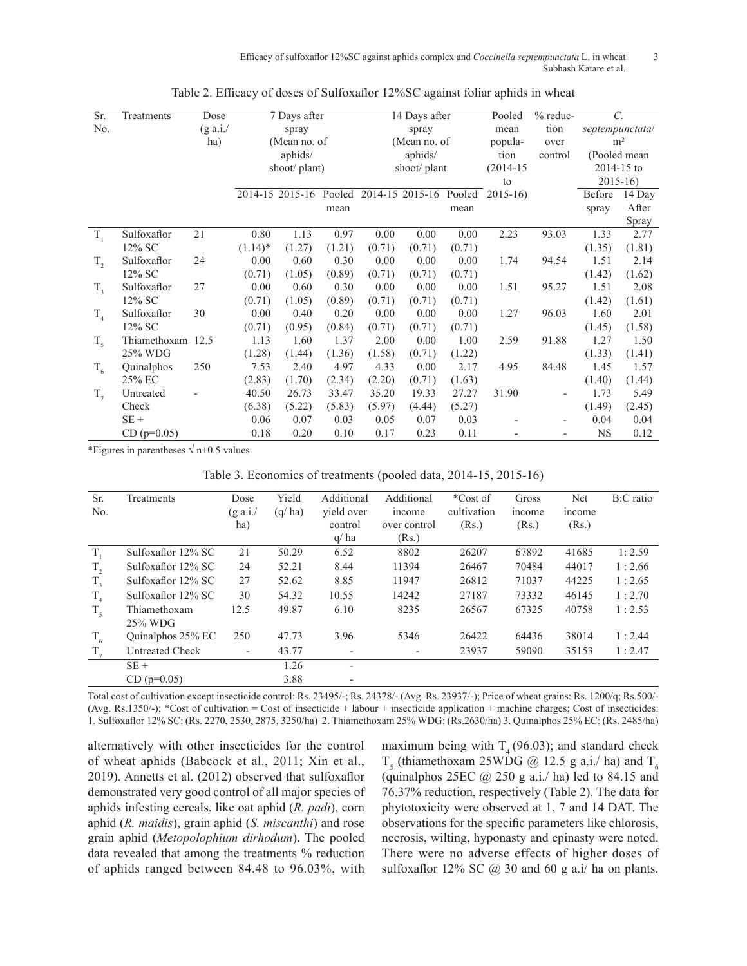Efficacy of sulfoxaflor 12%SC against aphids complex and *Coccinella septempunctata* L. in wheat 3 Subhash Katare et al.

| Sr.     | Treatments        | Dose               | 7 Days after |                                               |        | 14 Days after |        |        | Pooled        | % reduc-                |                | $\mathcal{C}$ . |
|---------|-------------------|--------------------|--------------|-----------------------------------------------|--------|---------------|--------|--------|---------------|-------------------------|----------------|-----------------|
| No.     |                   | $(g \text{ a.i.})$ | spray        |                                               |        | spray         |        |        | mean          | tion<br>septempunctata/ |                |                 |
|         |                   | ha)                | (Mean no. of |                                               |        | (Mean no. of  |        |        | popula-       | m <sup>2</sup><br>over  |                |                 |
|         |                   |                    | aphids/      |                                               |        | aphids/       |        |        | tion          | control                 | (Pooled mean   |                 |
|         |                   |                    |              | shoot/ plant)                                 |        | shoot/plant   |        |        | $(2014 - 15)$ |                         | $2014 - 15$ to |                 |
|         |                   |                    |              |                                               |        |               |        |        | to            |                         | $2015 - 16$    |                 |
|         |                   |                    |              | 2014-15 2015-16 Pooled 2014-15 2015-16 Pooled |        |               |        |        | $2015 - 16$   |                         | Before         | 14 Day          |
|         |                   |                    |              |                                               | mean   |               |        | mean   |               |                         | spray          | After           |
|         |                   |                    |              |                                               |        |               |        |        |               |                         |                | Spray           |
| $T_{1}$ | Sulfoxaflor       | 21                 | 0.80         | 1.13                                          | 0.97   | 0.00          | 0.00   | 0.00   | 2.23          | 93.03                   | 1.33           | 2.77            |
|         | 12% SC            |                    | $(1.14)^*$   | (1.27)                                        | (1.21) | (0.71)        | (0.71) | (0.71) |               |                         | (1.35)         | (1.81)          |
| $T_{2}$ | Sulfoxaflor       | 24                 | 0.00         | 0.60                                          | 0.30   | 0.00          | 0.00   | 0.00   | 1.74          | 94.54                   | 1.51           | 2.14            |
|         | 12% SC            |                    | (0.71)       | (1.05)                                        | (0.89) | (0.71)        | (0.71) | (0.71) |               |                         | (1.42)         | (1.62)          |
| $T_{3}$ | Sulfoxaflor       | 27                 | 0.00         | 0.60                                          | 0.30   | 0.00          | 0.00   | 0.00   | 1.51          | 95.27                   | 1.51           | 2.08            |
|         | 12% SC            |                    | (0.71)       | (1.05)                                        | (0.89) | (0.71)        | (0.71) | (0.71) |               |                         | (1.42)         | (1.61)          |
| $T_{4}$ | Sulfoxaflor       | 30                 | 0.00         | 0.40                                          | 0.20   | 0.00          | 0.00   | 0.00   | 1.27          | 96.03                   | 1.60           | 2.01            |
|         | 12% SC            |                    | (0.71)       | (0.95)                                        | (0.84) | (0.71)        | (0.71) | (0.71) |               |                         | (1.45)         | (1.58)          |
| $T_5$   | Thiamethoxam 12.5 |                    | 1.13         | 1.60                                          | 1.37   | 2.00          | 0.00   | 1.00   | 2.59          | 91.88                   | 1.27           | 1.50            |
|         | 25% WDG           |                    | (1.28)       | (1.44)                                        | (1.36) | (1.58)        | (0.71) | (1.22) |               |                         | (1.33)         | (1.41)          |
| $T_{6}$ | Quinalphos        | 250                | 7.53         | 2.40                                          | 4.97   | 4.33          | 0.00   | 2.17   | 4.95          | 84.48                   | 1.45           | 1.57            |
|         | 25% EC            |                    | (2.83)       | (1.70)                                        | (2.34) | (2.20)        | (0.71) | (1.63) |               |                         | (1.40)         | (1.44)          |
| $T_{7}$ | Untreated         |                    | 40.50        | 26.73                                         | 33.47  | 35.20         | 19.33  | 27.27  | 31.90         |                         | 1.73           | 5.49            |
|         | Check             |                    | (6.38)       | (5.22)                                        | (5.83) | (5.97)        | (4.44) | (5.27) |               |                         | (1.49)         | (2.45)          |
|         | $SE \pm$          |                    | 0.06         | 0.07                                          | 0.03   | 0.05          | 0.07   | 0.03   |               |                         | 0.04           | 0.04            |
|         | $CD (p=0.05)$     |                    | 0.18         | 0.20                                          | 0.10   | 0.17          | 0.23   | 0.11   |               |                         | <b>NS</b>      | 0.12            |

|  |  | Table 2. Efficacy of doses of Sulfoxaflor 12%SC against foliar aphids in wheat |  |  |  |
|--|--|--------------------------------------------------------------------------------|--|--|--|
|  |  |                                                                                |  |  |  |

\*Figures in parentheses  $\sqrt{n+0.5}$  values

Table 3. Economics of treatments (pooled data, 2014-15, 2015-16)

| Sr.<br>No. | Treatments                 | Dose<br>$(g \text{ a.i.})$<br>ha) | Yield<br>(q/ha) | Additional<br>yield over<br>control | Additional<br>income<br>over control | *Cost of<br>cultivation<br>(Rs.) | Gross<br>income<br>(Rs.) | <b>Net</b><br>income<br>(Rs.) | B:C ratio |
|------------|----------------------------|-----------------------------------|-----------------|-------------------------------------|--------------------------------------|----------------------------------|--------------------------|-------------------------------|-----------|
|            |                            |                                   |                 | q/ha                                | (Rs.)                                |                                  |                          |                               |           |
| T.         | Sulfoxaflor 12% SC         | 21                                | 50.29           | 6.52                                | 8802                                 | 26207                            | 67892                    | 41685                         | 1:2.59    |
| $T_{2}$    | Sulfoxaflor 12% SC         | 24                                | 52.21           | 8.44                                | 11394                                | 26467                            | 70484                    | 44017                         | 1:2.66    |
| $T_{3}$    | Sulfoxaflor 12% SC         | 27                                | 52.62           | 8.85                                | 11947                                | 26812                            | 71037                    | 44225                         | 1:2.65    |
| $T_{4}$    | Sulfoxaflor 12% SC         | 30                                | 54.32           | 10.55                               | 14242                                | 27187                            | 73332                    | 46145                         | 1:2.70    |
| $T_{5}$    | Thiamethoxam<br>$25\%$ WDG | 12.5                              | 49.87           | 6.10                                | 8235                                 | 26567                            | 67325                    | 40758                         | 1:2.53    |
| $T_{6}$    | Quinalphos 25% EC          | 250                               | 47.73           | 3.96                                | 5346                                 | 26422                            | 64436                    | 38014                         | 1:2.44    |
| $T_{7}$    | <b>Untreated Check</b>     | $\overline{\phantom{a}}$          | 43.77           | $\overline{\phantom{a}}$            | $\overline{\phantom{a}}$             | 23937                            | 59090                    | 35153                         | 1:2.47    |
|            | $SE \pm$                   |                                   | 1.26            | $\overline{\phantom{a}}$            |                                      |                                  |                          |                               |           |
|            | $CD (p=0.05)$              |                                   | 3.88            | $\overline{\phantom{a}}$            |                                      |                                  |                          |                               |           |

Total cost of cultivation except insecticide control: Rs. 23495/-; Rs. 24378/- (Avg. Rs. 23937/-); Price of wheat grains: Rs. 1200/q; Rs.500/-  $(Avg. Rs.1350/-);$  \*Cost of cultivation = Cost of insecticide + labour + insecticide application + machine charges; Cost of insecticides: 1. Sulfoxaflor 12% SC: (Rs. 2270, 2530, 2875, 3250/ha) 2. Thiamethoxam 25% WDG: (Rs.2630/ha) 3. Quinalphos 25% EC: (Rs. 2485/ha)

alternatively with other insecticides for the control of wheat aphids (Babcock et al., 2011; Xin et al., 2019). Annetts et al. (2012) observed that sulfoxaflor demonstrated very good control of all major species of aphids infesting cereals, like oat aphid (*R. padi*), corn aphid (*R. maidis*), grain aphid (*S. miscanthi*) and rose grain aphid (*Metopolophium dirhodum*). The pooled data revealed that among the treatments % reduction of aphids ranged between 84.48 to 96.03%, with maximum being with  $T<sub>4</sub>$  (96.03); and standard check  $T<sub>5</sub>$  (thiamethoxam 25WDG @ 12.5 g a.i./ ha) and  $T<sub>6</sub>$ (quinalphos  $25EC$  @  $250$  g a.i./ ha) led to 84.15 and 76.37% reduction, respectively (Table 2). The data for phytotoxicity were observed at 1, 7 and 14 DAT. The observations for the specific parameters like chlorosis, necrosis, wilting, hyponasty and epinasty were noted. There were no adverse effects of higher doses of sulfoxaflor 12% SC  $(a)$  30 and 60 g a.i/ ha on plants.